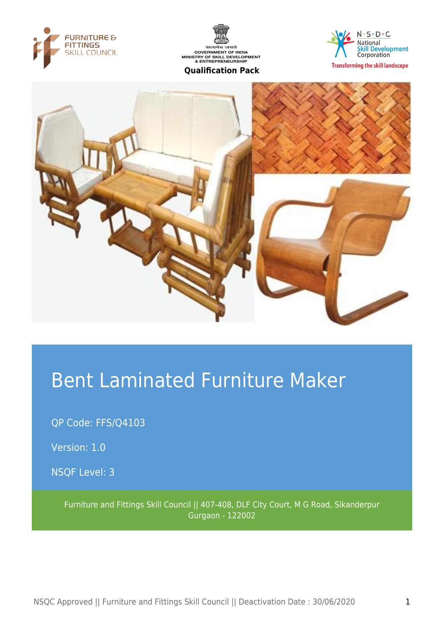





**Transforming the skill landscape** 



# Bent Laminated Furniture Maker

QP Code: FFS/Q4103

Version: 1.0

NSQF Level: 3

Furniture and Fittings Skill Council || 407-408, DLF City Court, M G Road, Sikanderpur Gurgaon - 122002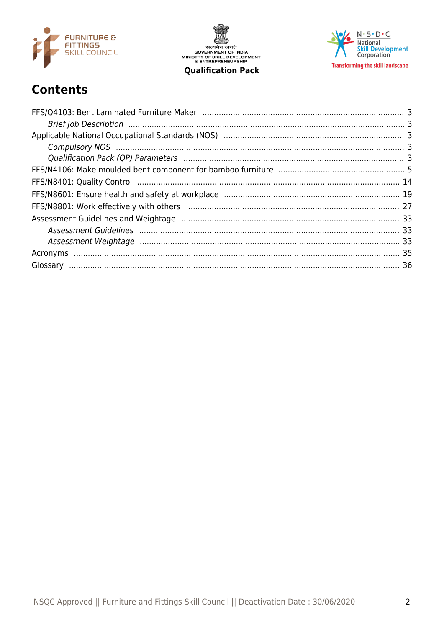

सत्यमेव जयते<br>GOVERNMENT OF INDIA<br>MINISTRY OF SKILL DEVELOPMENT<br>& ENTREPRENEURSHIP **Qualification Pack** 

 $N \cdot S \cdot D \cdot C$ National<br>Skill Development<br>Corporation **Transforming the skill landscape** 

## **Contents**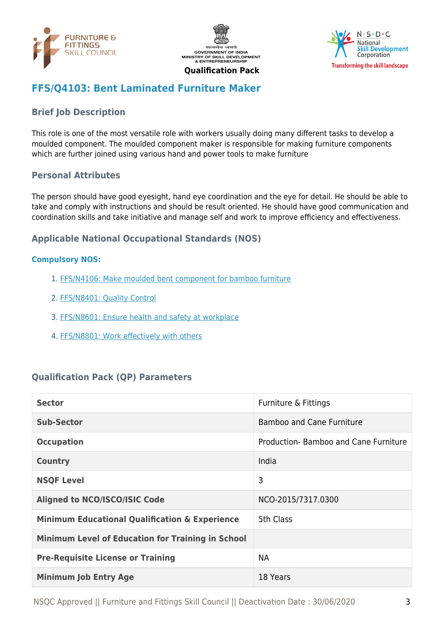





## <span id="page-2-0"></span>**FFS/Q4103: Bent Laminated Furniture Maker**

## <span id="page-2-1"></span>**Brief Job Description**

This role is one of the most versatile role with workers usually doing many different tasks to develop a moulded component. The moulded component maker is responsible for making furniture components which are further joined using various hand and power tools to make furniture

#### **Personal Attributes**

The person should have good eyesight, hand eye coordination and the eye for detail. He should be able to take and comply with instructions and should be result oriented. He should have good communication and coordination skills and take initiative and manage self and work to improve efficiency and effectiveness.

#### <span id="page-2-2"></span>**Applicable National Occupational Standards (NOS)**

#### <span id="page-2-3"></span>**Compulsory NOS:**

- 1. [FFS/N4106: Make moulded bent component for bamboo furniture](#page-4-0)
- 2. [FFS/N8401: Quality Control](#page-13-0)
- 3. [FFS/N8601: Ensure health and safety at workplace](#page-18-0)
- 4. [FFS/N8801: Work effectively with others](#page-26-0)

#### <span id="page-2-4"></span>**Qualification Pack (QP) Parameters**

| <b>Sector</b>                                             | Furniture & Fittings                  |
|-----------------------------------------------------------|---------------------------------------|
| <b>Sub-Sector</b>                                         | <b>Bamboo and Cane Furniture</b>      |
| <b>Occupation</b>                                         | Production- Bamboo and Cane Furniture |
| <b>Country</b>                                            | India                                 |
| <b>NSQF Level</b>                                         | 3                                     |
| <b>Aligned to NCO/ISCO/ISIC Code</b>                      | NCO-2015/7317.0300                    |
| <b>Minimum Educational Qualification &amp; Experience</b> | 5th Class                             |
| <b>Minimum Level of Education for Training in School</b>  |                                       |
| <b>Pre-Requisite License or Training</b>                  | <b>NA</b>                             |
| <b>Minimum Job Entry Age</b>                              | 18 Years                              |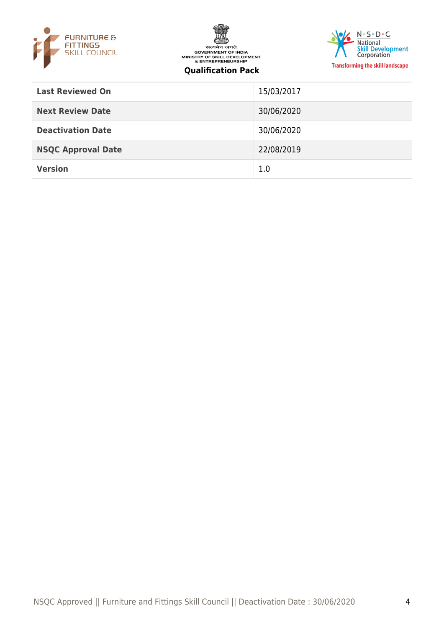





| <b>Last Reviewed On</b>   | 15/03/2017 |
|---------------------------|------------|
| <b>Next Review Date</b>   | 30/06/2020 |
| <b>Deactivation Date</b>  | 30/06/2020 |
| <b>NSQC Approval Date</b> | 22/08/2019 |
| <b>Version</b>            | 1.0        |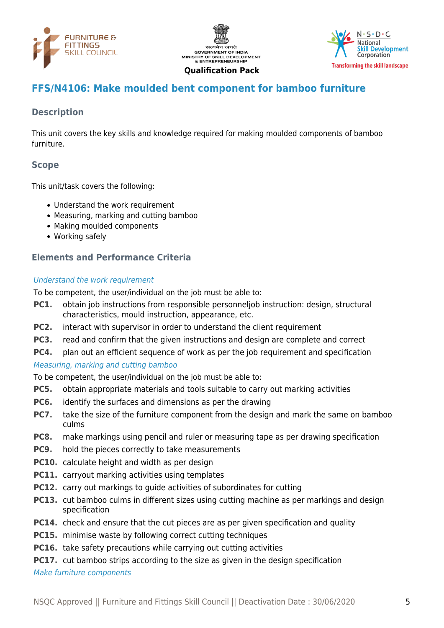





## <span id="page-4-0"></span>**FFS/N4106: Make moulded bent component for bamboo furniture**

#### **Description**

This unit covers the key skills and knowledge required for making moulded components of bamboo furniture.

## **Scope**

This unit/task covers the following:

- Understand the work requirement
- Measuring, marking and cutting bamboo
- Making moulded components
- Working safely

#### **Elements and Performance Criteria**

#### Understand the work requirement

To be competent, the user/individual on the job must be able to:

- **PC1.** obtain job instructions from responsible personneljob instruction: design, structural characteristics, mould instruction, appearance, etc.
- **PC2.** interact with supervisor in order to understand the client requirement
- **PC3.** read and confirm that the given instructions and design are complete and correct
- **PC4.** plan out an efficient sequence of work as per the job requirement and specification

#### Measuring, marking and cutting bamboo

To be competent, the user/individual on the job must be able to:

- **PC5.** obtain appropriate materials and tools suitable to carry out marking activities
- **PC6.** identify the surfaces and dimensions as per the drawing
- **PC7.** take the size of the furniture component from the design and mark the same on bamboo culms
- **PC8.** make markings using pencil and ruler or measuring tape as per drawing specification
- **PC9.** hold the pieces correctly to take measurements
- **PC10.** calculate height and width as per design
- **PC11.** carryout marking activities using templates
- **PC12.** carry out markings to guide activities of subordinates for cutting
- **PC13.** cut bamboo culms in different sizes using cutting machine as per markings and design specification
- **PC14.** check and ensure that the cut pieces are as per given specification and quality
- **PC15.** minimise waste by following correct cutting techniques
- **PC16.** take safety precautions while carrying out cutting activities
- **PC17.** cut bamboo strips according to the size as given in the design specification

Make furniture components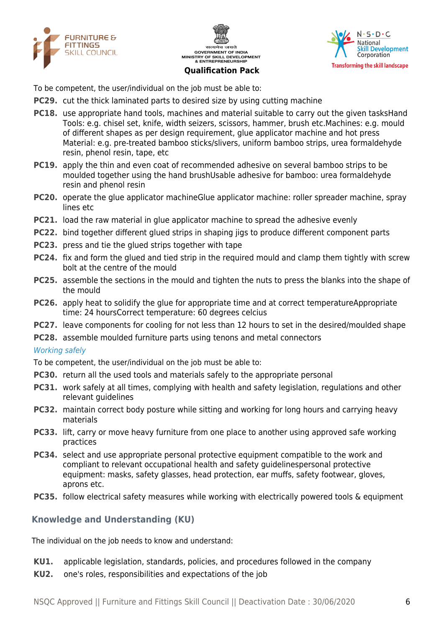





To be competent, the user/individual on the job must be able to:

- **PC29.** cut the thick laminated parts to desired size by using cutting machine
- **PC18.** use appropriate hand tools, machines and material suitable to carry out the given tasksHand Tools: e.g. chisel set, knife, width seizers, scissors, hammer, brush etc.Machines: e.g. mould of different shapes as per design requirement, glue applicator machine and hot press Material: e.g. pre-treated bamboo sticks/slivers, uniform bamboo strips, urea formaldehyde resin, phenol resin, tape, etc
- **PC19.** apply the thin and even coat of recommended adhesive on several bamboo strips to be moulded together using the hand brushUsable adhesive for bamboo: urea formaldehyde resin and phenol resin
- **PC20.** operate the glue applicator machineGlue applicator machine: roller spreader machine, spray lines etc
- **PC21.** load the raw material in glue applicator machine to spread the adhesive evenly
- **PC22.** bind together different glued strips in shaping jigs to produce different component parts
- **PC23.** press and tie the glued strips together with tape
- **PC24.** fix and form the glued and tied strip in the required mould and clamp them tightly with screw bolt at the centre of the mould
- **PC25.** assemble the sections in the mould and tighten the nuts to press the blanks into the shape of the mould
- **PC26.** apply heat to solidify the glue for appropriate time and at correct temperatureAppropriate time: 24 hoursCorrect temperature: 60 degrees celcius
- **PC27.** leave components for cooling for not less than 12 hours to set in the desired/moulded shape
- **PC28.** assemble moulded furniture parts using tenons and metal connectors

#### Working safely

To be competent, the user/individual on the job must be able to:

- **PC30.** return all the used tools and materials safely to the appropriate personal
- **PC31.** work safely at all times, complying with health and safety legislation, regulations and other relevant guidelines
- **PC32.** maintain correct body posture while sitting and working for long hours and carrying heavy materials
- **PC33.** lift, carry or move heavy furniture from one place to another using approved safe working practices
- **PC34.** select and use appropriate personal protective equipment compatible to the work and compliant to relevant occupational health and safety guidelinespersonal protective equipment: masks, safety glasses, head protection, ear muffs, safety footwear, gloves, aprons etc.
- **PC35.** follow electrical safety measures while working with electrically powered tools & equipment

#### **Knowledge and Understanding (KU)**

The individual on the job needs to know and understand:

- **KU1.** applicable legislation, standards, policies, and procedures followed in the company
- **KU2.** one's roles, responsibilities and expectations of the job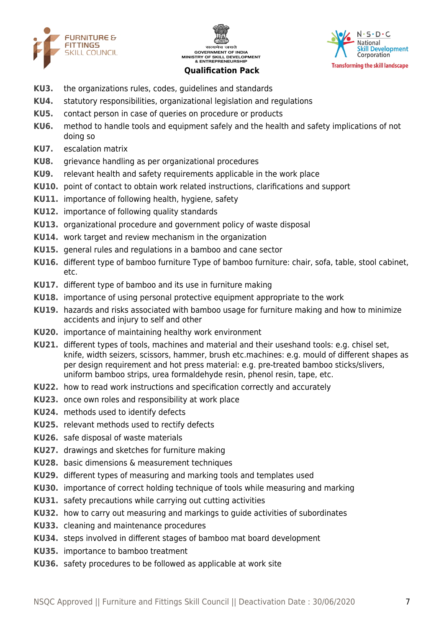





- **KU3.** the organizations rules, codes, guidelines and standards
- **KU4.** statutory responsibilities, organizational legislation and regulations
- **KU5.** contact person in case of queries on procedure or products
- **KU6.** method to handle tools and equipment safely and the health and safety implications of not doing so
- **KU7.** escalation matrix
- **KU8.** grievance handling as per organizational procedures
- **KU9.** relevant health and safety requirements applicable in the work place
- **KU10.** point of contact to obtain work related instructions, clarifications and support
- **KU11.** importance of following health, hygiene, safety
- **KU12.** importance of following quality standards
- **KU13.** organizational procedure and government policy of waste disposal
- **KU14.** work target and review mechanism in the organization
- **KU15.** general rules and regulations in a bamboo and cane sector
- **KU16.** different type of bamboo furniture Type of bamboo furniture: chair, sofa, table, stool cabinet, etc.
- **KU17.** different type of bamboo and its use in furniture making
- **KU18.** importance of using personal protective equipment appropriate to the work
- **KU19.** hazards and risks associated with bamboo usage for furniture making and how to minimize accidents and injury to self and other
- **KU20.** importance of maintaining healthy work environment
- **KU21.** different types of tools, machines and material and their useshand tools: e.g. chisel set, knife, width seizers, scissors, hammer, brush etc.machines: e.g. mould of different shapes as per design requirement and hot press material: e.g. pre-treated bamboo sticks/slivers, uniform bamboo strips, urea formaldehyde resin, phenol resin, tape, etc.
- **KU22.** how to read work instructions and specification correctly and accurately
- **KU23.** once own roles and responsibility at work place
- **KU24.** methods used to identify defects
- **KU25.** relevant methods used to rectify defects
- **KU26.** safe disposal of waste materials
- **KU27.** drawings and sketches for furniture making
- **KU28.** basic dimensions & measurement techniques
- **KU29.** different types of measuring and marking tools and templates used
- **KU30.** importance of correct holding technique of tools while measuring and marking
- **KU31.** safety precautions while carrying out cutting activities
- **KU32.** how to carry out measuring and markings to guide activities of subordinates
- **KU33.** cleaning and maintenance procedures
- **KU34.** steps involved in different stages of bamboo mat board development
- **KU35.** importance to bamboo treatment
- **KU36.** safety procedures to be followed as applicable at work site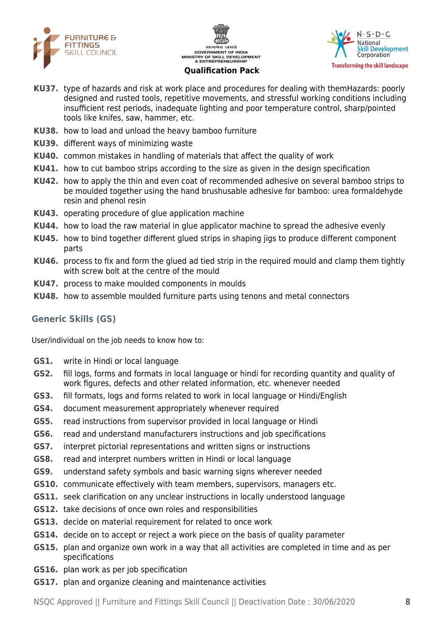





- **KU37.** type of hazards and risk at work place and procedures for dealing with themHazards: poorly designed and rusted tools, repetitive movements, and stressful working conditions including insufficient rest periods, inadequate lighting and poor temperature control, sharp/pointed tools like knifes, saw, hammer, etc.
- **KU38.** how to load and unload the heavy bamboo furniture
- **KU39.** different ways of minimizing waste
- **KU40.** common mistakes in handling of materials that affect the quality of work
- **KU41.** how to cut bamboo strips according to the size as given in the design specification
- **KU42.** how to apply the thin and even coat of recommended adhesive on several bamboo strips to be moulded together using the hand brushusable adhesive for bamboo: urea formaldehyde resin and phenol resin
- **KU43.** operating procedure of glue application machine
- **KU44.** how to load the raw material in glue applicator machine to spread the adhesive evenly
- **KU45.** how to bind together different glued strips in shaping jigs to produce different component parts
- **KU46.** process to fix and form the glued ad tied strip in the required mould and clamp them tightly with screw bolt at the centre of the mould
- **KU47.** process to make moulded components in moulds
- **KU48.** how to assemble moulded furniture parts using tenons and metal connectors

#### **Generic Skills (GS)**

User/individual on the job needs to know how to:

- **GS1.** write in Hindi or local language
- **GS2.** fill logs, forms and formats in local language or hindi for recording quantity and quality of work figures, defects and other related information, etc. whenever needed
- **GS3.** fill formats, logs and forms related to work in local language or Hindi/English
- **GS4.** document measurement appropriately whenever required
- **GS5.** read instructions from supervisor provided in local language or Hindi
- **GS6.** read and understand manufacturers instructions and job specifications
- **GS7.** interpret pictorial representations and written signs or instructions
- **GS8.** read and interpret numbers written in Hindi or local language
- **GS9.** understand safety symbols and basic warning signs wherever needed
- **GS10.** communicate effectively with team members, supervisors, managers etc.
- **GS11.** seek clarification on any unclear instructions in locally understood language
- **GS12.** take decisions of once own roles and responsibilities
- **GS13.** decide on material requirement for related to once work
- **GS14.** decide on to accept or reject a work piece on the basis of quality parameter
- **GS15.** plan and organize own work in a way that all activities are completed in time and as per specifications
- **GS16.** plan work as per job specification
- **GS17.** plan and organize cleaning and maintenance activities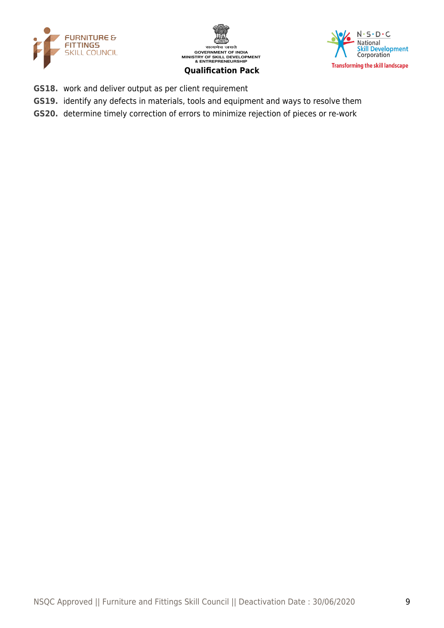





- **GS18.** work and deliver output as per client requirement
- **GS19.** identify any defects in materials, tools and equipment and ways to resolve them
- **GS20.** determine timely correction of errors to minimize rejection of pieces or re-work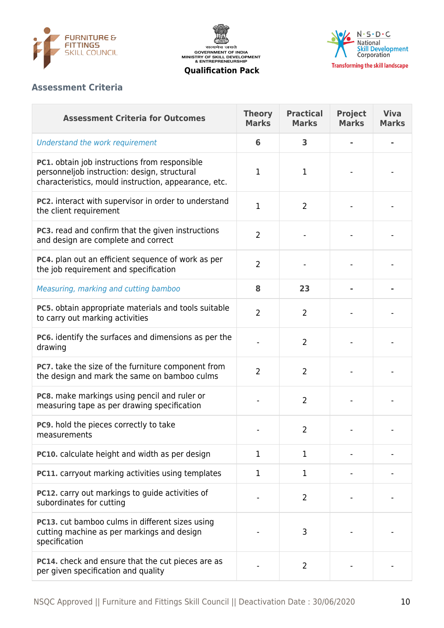





## **Assessment Criteria**

| <b>Assessment Criteria for Outcomes</b>                                                                                                               | <b>Theory</b><br><b>Marks</b> | <b>Practical</b><br><b>Marks</b> | <b>Project</b><br><b>Marks</b> | <b>Viva</b><br><b>Marks</b> |
|-------------------------------------------------------------------------------------------------------------------------------------------------------|-------------------------------|----------------------------------|--------------------------------|-----------------------------|
| Understand the work requirement                                                                                                                       | 6                             | 3                                |                                |                             |
| PC1. obtain job instructions from responsible<br>personneljob instruction: design, structural<br>characteristics, mould instruction, appearance, etc. | 1                             | 1                                |                                |                             |
| PC2. interact with supervisor in order to understand<br>the client requirement                                                                        | $\mathbf 1$                   | $\overline{2}$                   |                                |                             |
| PC3. read and confirm that the given instructions<br>and design are complete and correct                                                              | $\overline{2}$                |                                  |                                |                             |
| PC4. plan out an efficient sequence of work as per<br>the job requirement and specification                                                           | $\overline{2}$                |                                  |                                |                             |
| Measuring, marking and cutting bamboo                                                                                                                 | 8                             | 23                               |                                |                             |
| PC5. obtain appropriate materials and tools suitable<br>to carry out marking activities                                                               | $\overline{2}$                | $\overline{2}$                   |                                |                             |
| PC6. identify the surfaces and dimensions as per the<br>drawing                                                                                       |                               | $\overline{2}$                   |                                |                             |
| PC7. take the size of the furniture component from<br>the design and mark the same on bamboo culms                                                    | $\overline{2}$                | $\overline{2}$                   |                                |                             |
| PC8. make markings using pencil and ruler or<br>measuring tape as per drawing specification                                                           |                               | $\overline{2}$                   |                                |                             |
| PC9. hold the pieces correctly to take<br>measurements                                                                                                |                               | $\overline{2}$                   |                                |                             |
| PC10. calculate height and width as per design                                                                                                        | 1                             | 1.                               |                                |                             |
| <b>PC11.</b> carryout marking activities using templates                                                                                              | 1                             | 1                                |                                |                             |
| PC12. carry out markings to guide activities of<br>subordinates for cutting                                                                           |                               | $\overline{2}$                   |                                |                             |
| PC13. cut bamboo culms in different sizes using<br>cutting machine as per markings and design<br>specification                                        |                               | 3                                |                                |                             |
| <b>PC14.</b> check and ensure that the cut pieces are as<br>per given specification and quality                                                       |                               | $\overline{2}$                   |                                |                             |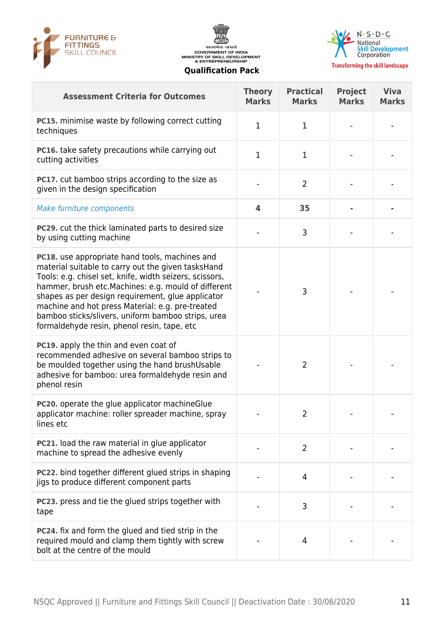





| <b>Assessment Criteria for Outcomes</b>                                                                                                                                                                                                                                                                                                                                                                                              | <b>Theory</b><br><b>Marks</b> | <b>Practical</b><br><b>Marks</b> | <b>Project</b><br><b>Marks</b> | <b>Viva</b><br><b>Marks</b> |
|--------------------------------------------------------------------------------------------------------------------------------------------------------------------------------------------------------------------------------------------------------------------------------------------------------------------------------------------------------------------------------------------------------------------------------------|-------------------------------|----------------------------------|--------------------------------|-----------------------------|
| PC15. minimise waste by following correct cutting<br>techniques                                                                                                                                                                                                                                                                                                                                                                      | 1                             | $\mathbf 1$                      |                                |                             |
| PC16. take safety precautions while carrying out<br>cutting activities                                                                                                                                                                                                                                                                                                                                                               | 1                             | $\mathbf{1}$                     |                                |                             |
| <b>PC17.</b> cut bamboo strips according to the size as<br>given in the design specification                                                                                                                                                                                                                                                                                                                                         |                               | $\overline{2}$                   |                                |                             |
| Make furniture components                                                                                                                                                                                                                                                                                                                                                                                                            | 4                             | 35                               |                                |                             |
| <b>PC29.</b> cut the thick laminated parts to desired size<br>by using cutting machine                                                                                                                                                                                                                                                                                                                                               |                               | 3                                |                                |                             |
| PC18. use appropriate hand tools, machines and<br>material suitable to carry out the given tasksHand<br>Tools: e.g. chisel set, knife, width seizers, scissors,<br>hammer, brush etc.Machines: e.g. mould of different<br>shapes as per design requirement, glue applicator<br>machine and hot press Material: e.g. pre-treated<br>bamboo sticks/slivers, uniform bamboo strips, urea<br>formaldehyde resin, phenol resin, tape, etc |                               | 3                                |                                |                             |
| PC19. apply the thin and even coat of<br>recommended adhesive on several bamboo strips to<br>be moulded together using the hand brushUsable<br>adhesive for bamboo: urea formaldehyde resin and<br>phenol resin                                                                                                                                                                                                                      |                               | $\overline{2}$                   |                                |                             |
| <b>PC20.</b> operate the glue applicator machine Glue<br>applicator machine: roller spreader machine, spray<br>lines etc                                                                                                                                                                                                                                                                                                             |                               | $\overline{2}$                   |                                |                             |
| PC21. load the raw material in glue applicator<br>machine to spread the adhesive evenly                                                                                                                                                                                                                                                                                                                                              |                               | $\overline{2}$                   |                                |                             |
| <b>PC22.</b> bind together different glued strips in shaping<br>jigs to produce different component parts                                                                                                                                                                                                                                                                                                                            |                               | 4                                |                                |                             |
| <b>PC23.</b> press and tie the glued strips together with<br>tape                                                                                                                                                                                                                                                                                                                                                                    |                               | 3                                |                                |                             |
| <b>PC24.</b> fix and form the glued and tied strip in the<br>required mould and clamp them tightly with screw<br>bolt at the centre of the mould                                                                                                                                                                                                                                                                                     |                               | $\overline{4}$                   |                                |                             |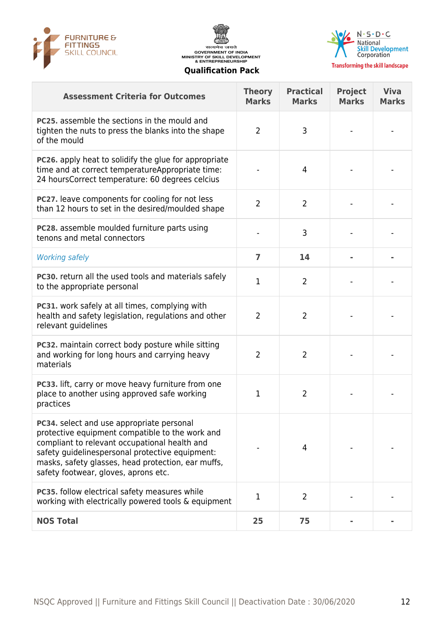





| <b>Assessment Criteria for Outcomes</b>                                                                                                                                                                                                                                                        | <b>Theory</b><br><b>Marks</b> | <b>Practical</b><br><b>Marks</b> | <b>Project</b><br><b>Marks</b> | <b>Viva</b><br><b>Marks</b> |
|------------------------------------------------------------------------------------------------------------------------------------------------------------------------------------------------------------------------------------------------------------------------------------------------|-------------------------------|----------------------------------|--------------------------------|-----------------------------|
| <b>PC25.</b> assemble the sections in the mould and<br>tighten the nuts to press the blanks into the shape<br>of the mould                                                                                                                                                                     | $\overline{2}$                | 3                                |                                |                             |
| <b>PC26.</b> apply heat to solidify the glue for appropriate<br>time and at correct temperatureAppropriate time:<br>24 hoursCorrect temperature: 60 degrees celcius                                                                                                                            |                               | 4                                |                                |                             |
| PC27. leave components for cooling for not less<br>than 12 hours to set in the desired/moulded shape                                                                                                                                                                                           | $\overline{2}$                | $\overline{2}$                   |                                |                             |
| <b>PC28.</b> assemble moulded furniture parts using<br>tenons and metal connectors                                                                                                                                                                                                             |                               | 3                                |                                |                             |
| <b>Working safely</b>                                                                                                                                                                                                                                                                          | $\overline{7}$                | 14                               |                                |                             |
| <b>PC30.</b> return all the used tools and materials safely<br>to the appropriate personal                                                                                                                                                                                                     | $\mathbf{1}$                  | $\overline{2}$                   |                                |                             |
| PC31. work safely at all times, complying with<br>health and safety legislation, regulations and other<br>relevant guidelines                                                                                                                                                                  | $\overline{2}$                | $\overline{2}$                   |                                |                             |
| <b>PC32.</b> maintain correct body posture while sitting<br>and working for long hours and carrying heavy<br>materials                                                                                                                                                                         | 2                             | $\overline{2}$                   |                                |                             |
| PC33. lift, carry or move heavy furniture from one<br>place to another using approved safe working<br>practices                                                                                                                                                                                | 1                             | $\overline{2}$                   |                                |                             |
| PC34. select and use appropriate personal<br>protective equipment compatible to the work and<br>compliant to relevant occupational health and<br>safety guidelinespersonal protective equipment:<br>masks, safety glasses, head protection, ear muffs,<br>safety footwear, gloves, aprons etc. |                               | 4                                |                                |                             |
| <b>PC35.</b> follow electrical safety measures while<br>working with electrically powered tools & equipment                                                                                                                                                                                    | 1                             | $\overline{2}$                   |                                |                             |
| <b>NOS Total</b>                                                                                                                                                                                                                                                                               | 25                            | 75                               |                                |                             |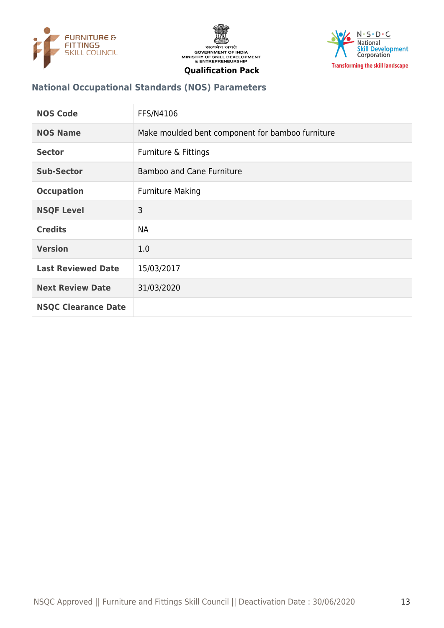





## **National Occupational Standards (NOS) Parameters**

| <b>NOS Code</b>            | FFS/N4106                                        |
|----------------------------|--------------------------------------------------|
| <b>NOS Name</b>            | Make moulded bent component for bamboo furniture |
| <b>Sector</b>              | Furniture & Fittings                             |
| <b>Sub-Sector</b>          | <b>Bamboo and Cane Furniture</b>                 |
| <b>Occupation</b>          | <b>Furniture Making</b>                          |
| <b>NSQF Level</b>          | 3                                                |
| <b>Credits</b>             | <b>NA</b>                                        |
| <b>Version</b>             | 1.0                                              |
| <b>Last Reviewed Date</b>  | 15/03/2017                                       |
| <b>Next Review Date</b>    | 31/03/2020                                       |
| <b>NSQC Clearance Date</b> |                                                  |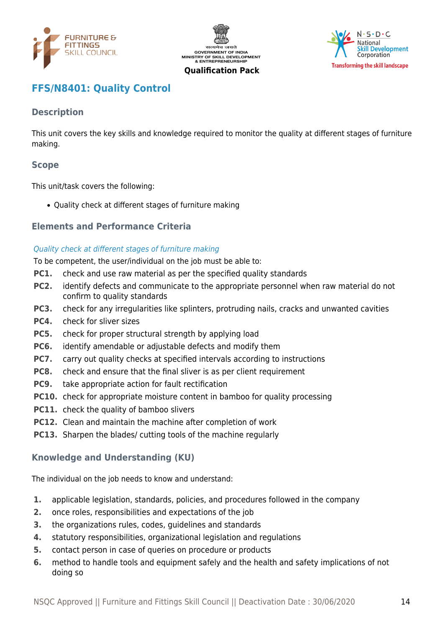





## <span id="page-13-0"></span>**FFS/N8401: Quality Control**

## **Description**

This unit covers the key skills and knowledge required to monitor the quality at different stages of furniture making.

#### **Scope**

This unit/task covers the following:

Quality check at different stages of furniture making

#### **Elements and Performance Criteria**

#### Quality check at different stages of furniture making

To be competent, the user/individual on the job must be able to:

- **PC1.** check and use raw material as per the specified quality standards
- **PC2.** identify defects and communicate to the appropriate personnel when raw material do not confirm to quality standards
- **PC3.** check for any irregularities like splinters, protruding nails, cracks and unwanted cavities
- **PC4.** check for sliver sizes
- **PC5.** check for proper structural strength by applying load
- **PC6.** identify amendable or adjustable defects and modify them
- **PC7.** carry out quality checks at specified intervals according to instructions
- **PC8.** check and ensure that the final sliver is as per client requirement
- **PC9.** take appropriate action for fault rectification
- **PC10.** check for appropriate moisture content in bamboo for quality processing
- **PC11.** check the quality of bamboo slivers
- **PC12.** Clean and maintain the machine after completion of work
- **PC13.** Sharpen the blades/ cutting tools of the machine regularly

#### **Knowledge and Understanding (KU)**

The individual on the job needs to know and understand:

- **1.** applicable legislation, standards, policies, and procedures followed in the company
- **2.** once roles, responsibilities and expectations of the job
- **3.** the organizations rules, codes, guidelines and standards
- **4.** statutory responsibilities, organizational legislation and regulations
- **5.** contact person in case of queries on procedure or products
- **6.** method to handle tools and equipment safely and the health and safety implications of not doing so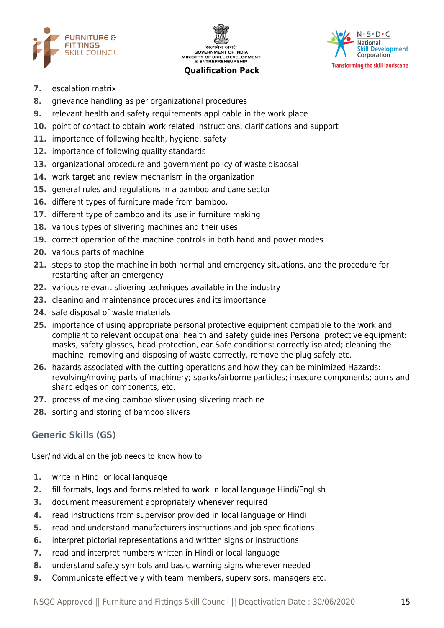



#### $N \cdot S \cdot D \cdot C$ National **Skill Development** Corporation **Transforming the skill landscape**

- **7.** escalation matrix
- **8.** grievance handling as per organizational procedures
- **9.** relevant health and safety requirements applicable in the work place
- **10.** point of contact to obtain work related instructions, clarifications and support
- **11.** importance of following health, hygiene, safety
- **12.** importance of following quality standards
- **13.** organizational procedure and government policy of waste disposal
- **14.** work target and review mechanism in the organization
- **15.** general rules and regulations in a bamboo and cane sector
- **16.** different types of furniture made from bamboo.
- **17.** different type of bamboo and its use in furniture making
- **18.** various types of slivering machines and their uses
- **19.** correct operation of the machine controls in both hand and power modes
- **20.** various parts of machine
- **21.** steps to stop the machine in both normal and emergency situations, and the procedure for restarting after an emergency
- **22.** various relevant slivering techniques available in the industry
- **23.** cleaning and maintenance procedures and its importance
- **24.** safe disposal of waste materials
- **25.** importance of using appropriate personal protective equipment compatible to the work and compliant to relevant occupational health and safety guidelines Personal protective equipment: masks, safety glasses, head protection, ear Safe conditions: correctly isolated; cleaning the machine; removing and disposing of waste correctly, remove the plug safely etc.
- **26.** hazards associated with the cutting operations and how they can be minimized Hazards: revolving/moving parts of machinery; sparks/airborne particles; insecure components; burrs and sharp edges on components, etc.
- **27.** process of making bamboo sliver using slivering machine
- **28.** sorting and storing of bamboo slivers

## **Generic Skills (GS)**

User/individual on the job needs to know how to:

- **1.** write in Hindi or local language
- **2.** fill formats, logs and forms related to work in local language Hindi/English
- **3.** document measurement appropriately whenever required
- **4.** read instructions from supervisor provided in local language or Hindi
- **5.** read and understand manufacturers instructions and job specifications
- **6.** interpret pictorial representations and written signs or instructions
- **7.** read and interpret numbers written in Hindi or local language
- **8.** understand safety symbols and basic warning signs wherever needed
- **9.** Communicate effectively with team members, supervisors, managers etc.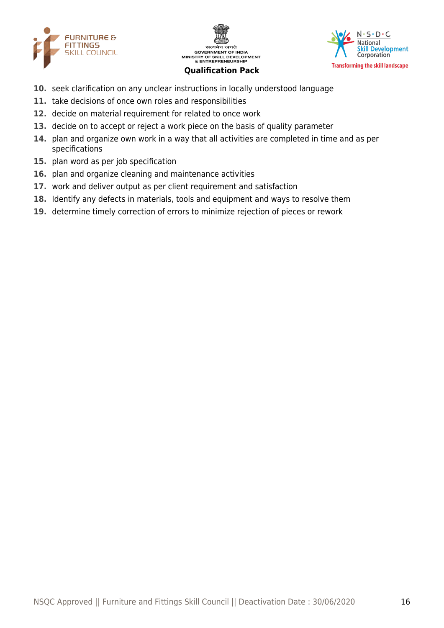





- **10.** seek clarification on any unclear instructions in locally understood language
- **11.** take decisions of once own roles and responsibilities
- **12.** decide on material requirement for related to once work
- **13.** decide on to accept or reject a work piece on the basis of quality parameter
- **14.** plan and organize own work in a way that all activities are completed in time and as per specifications
- **15.** plan word as per job specification
- **16.** plan and organize cleaning and maintenance activities
- **17.** work and deliver output as per client requirement and satisfaction
- **18.** Identify any defects in materials, tools and equipment and ways to resolve them
- **19.** determine timely correction of errors to minimize rejection of pieces or rework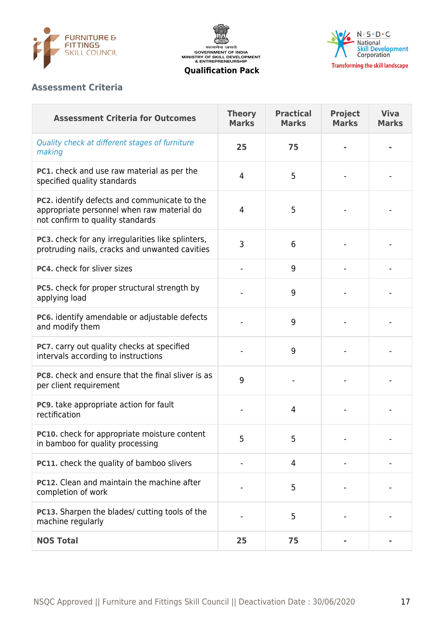





## **Assessment Criteria**

| <b>Assessment Criteria for Outcomes</b>                                                                                        | <b>Theory</b><br><b>Marks</b> | <b>Practical</b><br><b>Marks</b> | <b>Project</b><br><b>Marks</b> | <b>Viva</b><br><b>Marks</b> |
|--------------------------------------------------------------------------------------------------------------------------------|-------------------------------|----------------------------------|--------------------------------|-----------------------------|
| Quality check at different stages of furniture<br>making                                                                       | 25                            | 75                               |                                |                             |
| <b>PC1.</b> check and use raw material as per the<br>specified quality standards                                               | 4                             | 5                                |                                |                             |
| PC2. identify defects and communicate to the<br>appropriate personnel when raw material do<br>not confirm to quality standards | 4                             | 5                                |                                |                             |
| PC3. check for any irregularities like splinters,<br>protruding nails, cracks and unwanted cavities                            | 3                             | 6                                |                                |                             |
| PC4. check for sliver sizes                                                                                                    |                               | 9                                |                                |                             |
| PC5. check for proper structural strength by<br>applying load                                                                  |                               | 9                                |                                |                             |
| PC6. identify amendable or adjustable defects<br>and modify them                                                               |                               | 9                                |                                |                             |
| PC7. carry out quality checks at specified<br>intervals according to instructions                                              |                               | 9                                |                                |                             |
| PC8. check and ensure that the final sliver is as<br>per client requirement                                                    | 9                             |                                  |                                |                             |
| PC9. take appropriate action for fault<br>rectification                                                                        |                               | $\overline{4}$                   |                                |                             |
| PC10. check for appropriate moisture content<br>in bamboo for quality processing                                               | 5                             | 5                                |                                |                             |
| PC11. check the quality of bamboo slivers                                                                                      |                               | 4                                |                                |                             |
| PC12. Clean and maintain the machine after<br>completion of work                                                               |                               | 5                                |                                |                             |
| <b>PC13.</b> Sharpen the blades/ cutting tools of the<br>machine regularly                                                     |                               | 5                                |                                |                             |
| <b>NOS Total</b>                                                                                                               | 25                            | 75                               |                                |                             |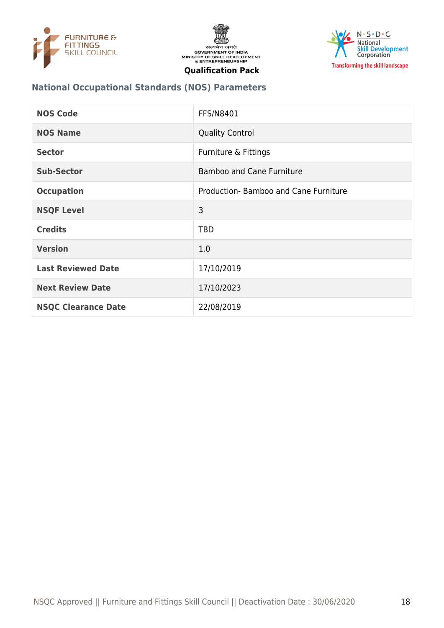





## **National Occupational Standards (NOS) Parameters**

| <b>NOS Code</b>            | <b>FFS/N8401</b>                     |
|----------------------------|--------------------------------------|
| <b>NOS Name</b>            | <b>Quality Control</b>               |
| <b>Sector</b>              | Furniture & Fittings                 |
| <b>Sub-Sector</b>          | <b>Bamboo and Cane Furniture</b>     |
| <b>Occupation</b>          | Production-Bamboo and Cane Furniture |
| <b>NSQF Level</b>          | 3                                    |
| <b>Credits</b>             | <b>TBD</b>                           |
| <b>Version</b>             | 1.0                                  |
| <b>Last Reviewed Date</b>  | 17/10/2019                           |
| <b>Next Review Date</b>    | 17/10/2023                           |
| <b>NSQC Clearance Date</b> | 22/08/2019                           |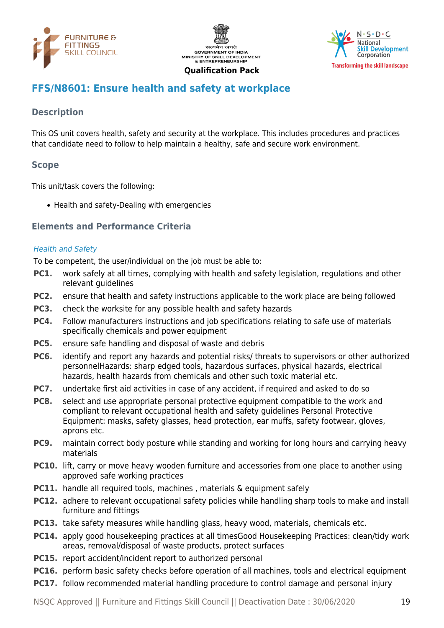





## <span id="page-18-0"></span>**FFS/N8601: Ensure health and safety at workplace**

## **Description**

This OS unit covers health, safety and security at the workplace. This includes procedures and practices that candidate need to follow to help maintain a healthy, safe and secure work environment.

#### **Scope**

This unit/task covers the following:

• Health and safety-Dealing with emergencies

#### **Elements and Performance Criteria**

#### Health and Safety

To be competent, the user/individual on the job must be able to:

- **PC1.** work safely at all times, complying with health and safety legislation, regulations and other relevant quidelines
- **PC2.** ensure that health and safety instructions applicable to the work place are being followed
- **PC3.** check the worksite for any possible health and safety hazards
- **PC4.** Follow manufacturers instructions and job specifications relating to safe use of materials specifically chemicals and power equipment
- **PC5.** ensure safe handling and disposal of waste and debris
- **PC6.** identify and report any hazards and potential risks/ threats to supervisors or other authorized personnelHazards: sharp edged tools, hazardous surfaces, physical hazards, electrical hazards, health hazards from chemicals and other such toxic material etc.
- **PC7.** undertake first aid activities in case of any accident, if required and asked to do so
- **PC8.** select and use appropriate personal protective equipment compatible to the work and compliant to relevant occupational health and safety guidelines Personal Protective Equipment: masks, safety glasses, head protection, ear muffs, safety footwear, gloves, aprons etc.
- **PC9.** maintain correct body posture while standing and working for long hours and carrying heavy materials
- **PC10.** lift, carry or move heavy wooden furniture and accessories from one place to another using approved safe working practices
- **PC11.** handle all required tools, machines, materials & equipment safely
- **PC12.** adhere to relevant occupational safety policies while handling sharp tools to make and install furniture and fittings
- **PC13.** take safety measures while handling glass, heavy wood, materials, chemicals etc.
- **PC14.** apply good housekeeping practices at all timesGood Housekeeping Practices: clean/tidy work areas, removal/disposal of waste products, protect surfaces
- **PC15.** report accident/incident report to authorized personal
- **PC16.** perform basic safety checks before operation of all machines, tools and electrical equipment
- **PC17.** follow recommended material handling procedure to control damage and personal injury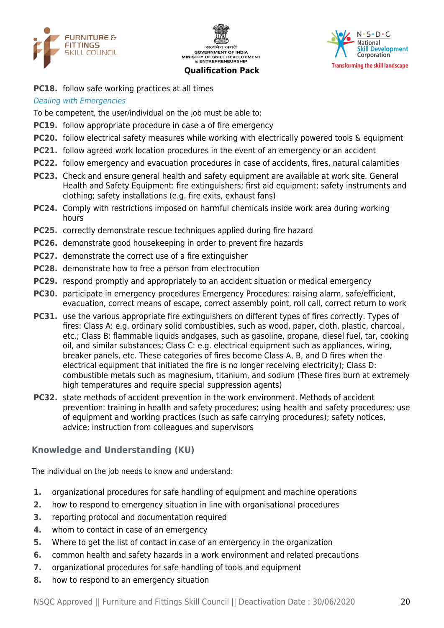





**PC18.** follow safe working practices at all times

#### Dealing with Emergencies

To be competent, the user/individual on the job must be able to:

- **PC19.** follow appropriate procedure in case a of fire emergency
- **PC20.** follow electrical safety measures while working with electrically powered tools & equipment
- **PC21.** follow agreed work location procedures in the event of an emergency or an accident
- **PC22.** follow emergency and evacuation procedures in case of accidents, fires, natural calamities
- **PC23.** Check and ensure general health and safety equipment are available at work site. General Health and Safety Equipment: fire extinguishers; first aid equipment; safety instruments and clothing; safety installations (e.g. fire exits, exhaust fans)
- **PC24.** Comply with restrictions imposed on harmful chemicals inside work area during working hours
- **PC25.** correctly demonstrate rescue techniques applied during fire hazard
- **PC26.** demonstrate good housekeeping in order to prevent fire hazards
- **PC27.** demonstrate the correct use of a fire extinguisher
- **PC28.** demonstrate how to free a person from electrocution
- **PC29.** respond promptly and appropriately to an accident situation or medical emergency
- **PC30.** participate in emergency procedures Emergency Procedures: raising alarm, safe/efficient, evacuation, correct means of escape, correct assembly point, roll call, correct return to work
- **PC31.** use the various appropriate fire extinguishers on different types of fires correctly. Types of fires: Class A: e.g. ordinary solid combustibles, such as wood, paper, cloth, plastic, charcoal, etc.; Class B: flammable liquids andgases, such as gasoline, propane, diesel fuel, tar, cooking oil, and similar substances; Class C: e.g. electrical equipment such as appliances, wiring, breaker panels, etc. These categories of fires become Class A, B, and D fires when the electrical equipment that initiated the fire is no longer receiving electricity); Class D: combustible metals such as magnesium, titanium, and sodium (These fires burn at extremely high temperatures and require special suppression agents)
- **PC32.** state methods of accident prevention in the work environment. Methods of accident prevention: training in health and safety procedures; using health and safety procedures; use of equipment and working practices (such as safe carrying procedures); safety notices, advice; instruction from colleagues and supervisors

#### **Knowledge and Understanding (KU)**

The individual on the job needs to know and understand:

- **1.** organizational procedures for safe handling of equipment and machine operations
- **2.** how to respond to emergency situation in line with organisational procedures
- **3.** reporting protocol and documentation required
- **4.** whom to contact in case of an emergency
- **5.** Where to get the list of contact in case of an emergency in the organization
- **6.** common health and safety hazards in a work environment and related precautions
- **7.** organizational procedures for safe handling of tools and equipment
- **8.** how to respond to an emergency situation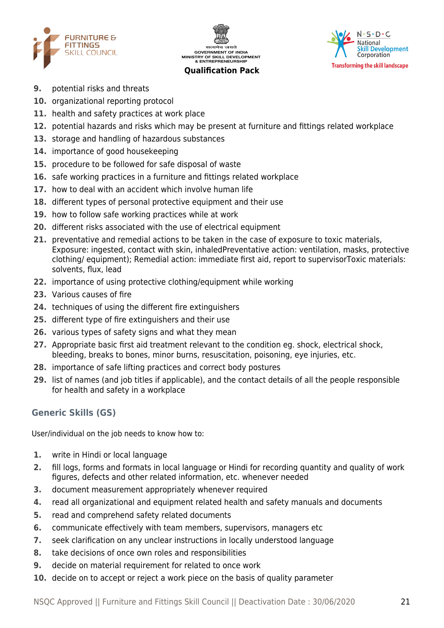





- **9.** potential risks and threats
- **10.** organizational reporting protocol
- **11.** health and safety practices at work place
- **12.** potential hazards and risks which may be present at furniture and fittings related workplace
- **13.** storage and handling of hazardous substances
- **14.** importance of good housekeeping
- **15.** procedure to be followed for safe disposal of waste
- **16.** safe working practices in a furniture and fittings related workplace
- **17.** how to deal with an accident which involve human life
- **18.** different types of personal protective equipment and their use
- **19.** how to follow safe working practices while at work
- **20.** different risks associated with the use of electrical equipment
- **21.** preventative and remedial actions to be taken in the case of exposure to toxic materials, Exposure: ingested, contact with skin, inhaledPreventative action: ventilation, masks, protective clothing/ equipment); Remedial action: immediate first aid, report to supervisorToxic materials: solvents, flux, lead
- **22.** importance of using protective clothing/equipment while working
- **23.** Various causes of fire
- **24.** techniques of using the different fire extinguishers
- **25.** different type of fire extinguishers and their use
- **26.** various types of safety signs and what they mean
- **27.** Appropriate basic first aid treatment relevant to the condition eg. shock, electrical shock, bleeding, breaks to bones, minor burns, resuscitation, poisoning, eye injuries, etc.
- **28.** importance of safe lifting practices and correct body postures
- **29.** list of names (and job titles if applicable), and the contact details of all the people responsible for health and safety in a workplace

## **Generic Skills (GS)**

User/individual on the job needs to know how to:

- **1.** write in Hindi or local language
- **2.** fill logs, forms and formats in local language or Hindi for recording quantity and quality of work figures, defects and other related information, etc. whenever needed
- **3.** document measurement appropriately whenever required
- **4.** read all organizational and equipment related health and safety manuals and documents
- **5.** read and comprehend safety related documents
- **6.** communicate effectively with team members, supervisors, managers etc
- **7.** seek clarification on any unclear instructions in locally understood language
- **8.** take decisions of once own roles and responsibilities
- **9.** decide on material requirement for related to once work
- **10.** decide on to accept or reject a work piece on the basis of quality parameter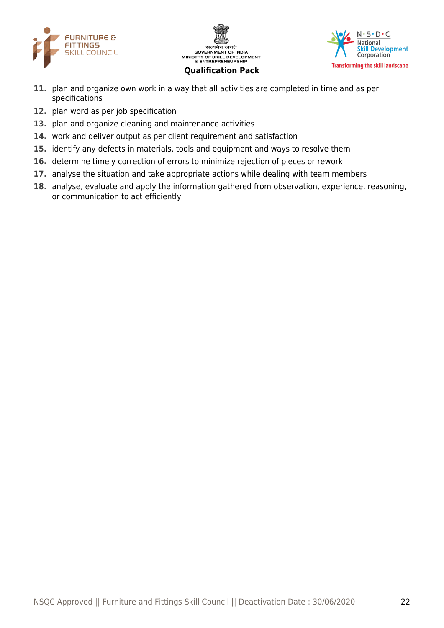





- **11.** plan and organize own work in a way that all activities are completed in time and as per specifications
- **12.** plan word as per job specification
- **13.** plan and organize cleaning and maintenance activities
- **14.** work and deliver output as per client requirement and satisfaction
- **15.** identify any defects in materials, tools and equipment and ways to resolve them
- **16.** determine timely correction of errors to minimize rejection of pieces or rework
- **17.** analyse the situation and take appropriate actions while dealing with team members
- **18.** analyse, evaluate and apply the information gathered from observation, experience, reasoning, or communication to act efficiently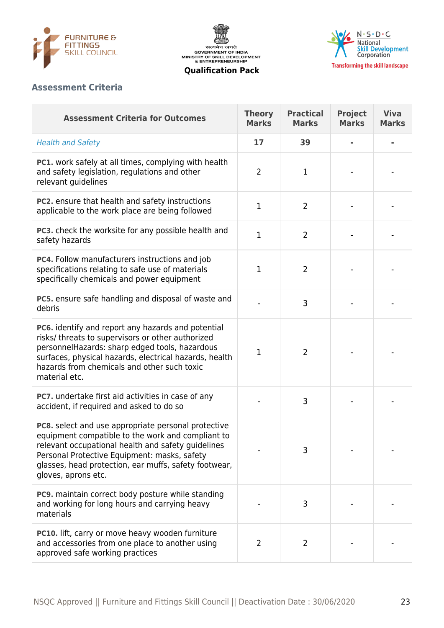





## **Assessment Criteria**

| <b>Assessment Criteria for Outcomes</b>                                                                                                                                                                                                                                                        | <b>Theory</b><br><b>Marks</b> | <b>Practical</b><br><b>Marks</b> | <b>Project</b><br><b>Marks</b> | <b>Viva</b><br><b>Marks</b> |
|------------------------------------------------------------------------------------------------------------------------------------------------------------------------------------------------------------------------------------------------------------------------------------------------|-------------------------------|----------------------------------|--------------------------------|-----------------------------|
| <b>Health and Safety</b>                                                                                                                                                                                                                                                                       | 17                            | 39                               |                                |                             |
| <b>PC1.</b> work safely at all times, complying with health<br>and safety legislation, regulations and other<br>relevant guidelines                                                                                                                                                            | $\overline{2}$                | $\mathbf 1$                      |                                |                             |
| PC2. ensure that health and safety instructions<br>applicable to the work place are being followed                                                                                                                                                                                             | $\mathbf{1}$                  | $\overline{2}$                   |                                |                             |
| PC3. check the worksite for any possible health and<br>safety hazards                                                                                                                                                                                                                          | $\mathbf{1}$                  | $\overline{2}$                   |                                |                             |
| PC4. Follow manufacturers instructions and job<br>specifications relating to safe use of materials<br>specifically chemicals and power equipment                                                                                                                                               | $\mathbf 1$                   | $\overline{2}$                   |                                |                             |
| PC5. ensure safe handling and disposal of waste and<br>debris                                                                                                                                                                                                                                  |                               | 3                                |                                |                             |
| PC6. identify and report any hazards and potential<br>risks/ threats to supervisors or other authorized<br>personnelHazards: sharp edged tools, hazardous<br>surfaces, physical hazards, electrical hazards, health<br>hazards from chemicals and other such toxic<br>material etc.            | $\mathbf 1$                   | $\overline{2}$                   |                                |                             |
| PC7. undertake first aid activities in case of any<br>accident, if required and asked to do so                                                                                                                                                                                                 |                               | 3                                |                                |                             |
| PC8. select and use appropriate personal protective<br>equipment compatible to the work and compliant to<br>relevant occupational health and safety guidelines<br>Personal Protective Equipment: masks, safety<br>glasses, head protection, ear muffs, safety footwear,<br>gloves, aprons etc. |                               | 3                                |                                |                             |
| PC9. maintain correct body posture while standing<br>and working for long hours and carrying heavy<br>materials                                                                                                                                                                                |                               | 3                                |                                |                             |
| PC10. lift, carry or move heavy wooden furniture<br>and accessories from one place to another using<br>approved safe working practices                                                                                                                                                         | 2                             | 2                                |                                |                             |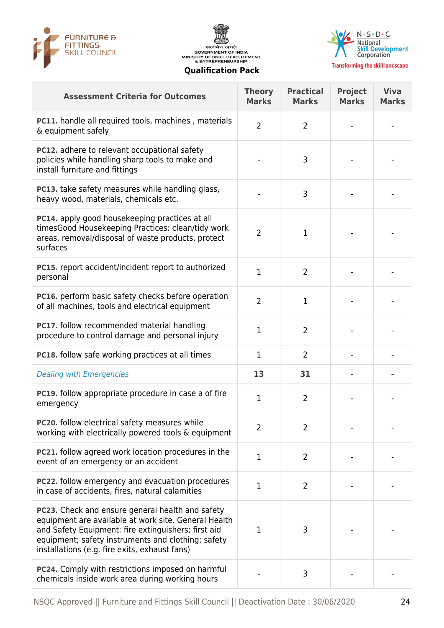





| <b>Assessment Criteria for Outcomes</b>                                                                                                                                                                                                                                       | <b>Theory</b><br><b>Marks</b> | <b>Practical</b><br><b>Marks</b> | <b>Project</b><br><b>Marks</b> | <b>Viva</b><br><b>Marks</b> |
|-------------------------------------------------------------------------------------------------------------------------------------------------------------------------------------------------------------------------------------------------------------------------------|-------------------------------|----------------------------------|--------------------------------|-----------------------------|
| <b>PC11.</b> handle all required tools, machines, materials<br>& equipment safely                                                                                                                                                                                             | $\overline{2}$                | $\overline{2}$                   |                                |                             |
| <b>PC12.</b> adhere to relevant occupational safety<br>policies while handling sharp tools to make and<br>install furniture and fittings                                                                                                                                      |                               | 3                                |                                |                             |
| <b>PC13.</b> take safety measures while handling glass,<br>heavy wood, materials, chemicals etc.                                                                                                                                                                              |                               | 3                                |                                |                             |
| PC14. apply good housekeeping practices at all<br>timesGood Housekeeping Practices: clean/tidy work<br>areas, removal/disposal of waste products, protect<br>surfaces                                                                                                         | $\overline{2}$                | 1                                |                                |                             |
| PC15. report accident/incident report to authorized<br>personal                                                                                                                                                                                                               | 1                             | $\overline{2}$                   |                                |                             |
| PC16. perform basic safety checks before operation<br>of all machines, tools and electrical equipment                                                                                                                                                                         | $\overline{2}$                | $\mathbf{1}$                     |                                |                             |
| PC17. follow recommended material handling<br>procedure to control damage and personal injury                                                                                                                                                                                 | 1                             | $\overline{2}$                   |                                |                             |
| <b>PC18.</b> follow safe working practices at all times                                                                                                                                                                                                                       | $\mathbf 1$                   | $\overline{2}$                   |                                |                             |
| <b>Dealing with Emergencies</b>                                                                                                                                                                                                                                               | 13                            | 31                               |                                |                             |
| PC19. follow appropriate procedure in case a of fire<br>emergency                                                                                                                                                                                                             | 1                             | $\overline{2}$                   |                                |                             |
| <b>PC20.</b> follow electrical safety measures while<br>working with electrically powered tools & equipment                                                                                                                                                                   | 2                             | 2                                |                                |                             |
| <b>PC21.</b> follow agreed work location procedures in the<br>event of an emergency or an accident                                                                                                                                                                            | $\mathbf 1$                   | $\overline{2}$                   |                                |                             |
| <b>PC22.</b> follow emergency and evacuation procedures<br>in case of accidents, fires, natural calamities                                                                                                                                                                    | $\mathbf 1$                   | $\overline{2}$                   |                                |                             |
| <b>PC23.</b> Check and ensure general health and safety<br>equipment are available at work site. General Health<br>and Safety Equipment: fire extinguishers; first aid<br>equipment; safety instruments and clothing; safety<br>installations (e.g. fire exits, exhaust fans) | $\mathbf 1$                   | 3                                |                                |                             |
| PC24. Comply with restrictions imposed on harmful<br>chemicals inside work area during working hours                                                                                                                                                                          |                               | 3                                |                                |                             |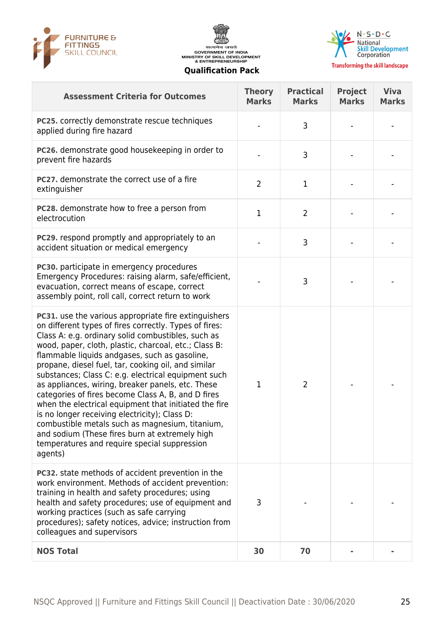





| <b>Assessment Criteria for Outcomes</b>                                                                                                                                                                                                                                                                                                                                                                                                                                                                                                                                                                                                                                                                                                                                           | <b>Theory</b><br><b>Marks</b> | <b>Practical</b><br><b>Marks</b> | <b>Project</b><br><b>Marks</b> | <b>Viva</b><br><b>Marks</b> |
|-----------------------------------------------------------------------------------------------------------------------------------------------------------------------------------------------------------------------------------------------------------------------------------------------------------------------------------------------------------------------------------------------------------------------------------------------------------------------------------------------------------------------------------------------------------------------------------------------------------------------------------------------------------------------------------------------------------------------------------------------------------------------------------|-------------------------------|----------------------------------|--------------------------------|-----------------------------|
| <b>PC25.</b> correctly demonstrate rescue techniques<br>applied during fire hazard                                                                                                                                                                                                                                                                                                                                                                                                                                                                                                                                                                                                                                                                                                |                               | 3                                |                                |                             |
| PC26. demonstrate good housekeeping in order to<br>prevent fire hazards                                                                                                                                                                                                                                                                                                                                                                                                                                                                                                                                                                                                                                                                                                           |                               | 3                                |                                |                             |
| PC27. demonstrate the correct use of a fire<br>extinguisher                                                                                                                                                                                                                                                                                                                                                                                                                                                                                                                                                                                                                                                                                                                       | $\overline{2}$                | 1                                |                                |                             |
| PC28. demonstrate how to free a person from<br>electrocution                                                                                                                                                                                                                                                                                                                                                                                                                                                                                                                                                                                                                                                                                                                      | $\mathbf{1}$                  | $\overline{2}$                   |                                |                             |
| <b>PC29.</b> respond promptly and appropriately to an<br>accident situation or medical emergency                                                                                                                                                                                                                                                                                                                                                                                                                                                                                                                                                                                                                                                                                  |                               | 3                                |                                |                             |
| PC30. participate in emergency procedures<br>Emergency Procedures: raising alarm, safe/efficient,<br>evacuation, correct means of escape, correct<br>assembly point, roll call, correct return to work                                                                                                                                                                                                                                                                                                                                                                                                                                                                                                                                                                            |                               | 3                                |                                |                             |
| PC31. use the various appropriate fire extinguishers<br>on different types of fires correctly. Types of fires:<br>Class A: e.g. ordinary solid combustibles, such as<br>wood, paper, cloth, plastic, charcoal, etc.; Class B:<br>flammable liquids andgases, such as gasoline,<br>propane, diesel fuel, tar, cooking oil, and similar<br>substances; Class C: e.g. electrical equipment such<br>as appliances, wiring, breaker panels, etc. These<br>categories of fires become Class A, B, and D fires<br>when the electrical equipment that initiated the fire<br>is no longer receiving electricity); Class D:<br>combustible metals such as magnesium, titanium,<br>and sodium (These fires burn at extremely high<br>temperatures and require special suppression<br>agents) | 1                             | $\overline{2}$                   |                                |                             |
| <b>PC32.</b> state methods of accident prevention in the<br>work environment. Methods of accident prevention:<br>training in health and safety procedures; using<br>health and safety procedures; use of equipment and<br>working practices (such as safe carrying<br>procedures); safety notices, advice; instruction from<br>colleagues and supervisors                                                                                                                                                                                                                                                                                                                                                                                                                         | 3                             |                                  |                                |                             |
| <b>NOS Total</b>                                                                                                                                                                                                                                                                                                                                                                                                                                                                                                                                                                                                                                                                                                                                                                  | 30                            | 70                               |                                |                             |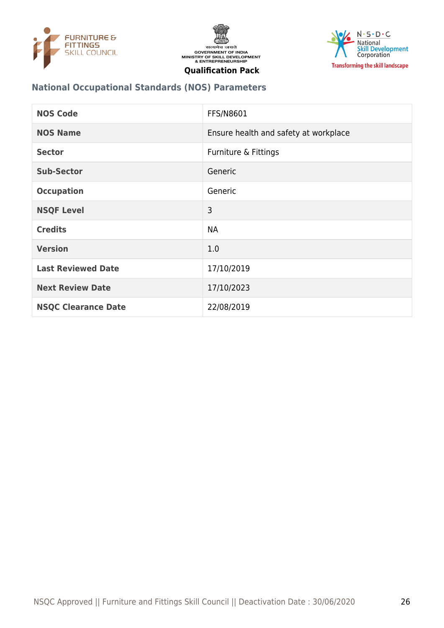





#### **National Occupational Standards (NOS) Parameters**

| <b>NOS Code</b>            | <b>FFS/N8601</b>                      |
|----------------------------|---------------------------------------|
| <b>NOS Name</b>            | Ensure health and safety at workplace |
| <b>Sector</b>              | Furniture & Fittings                  |
| <b>Sub-Sector</b>          | Generic                               |
| <b>Occupation</b>          | Generic                               |
| <b>NSQF Level</b>          | 3                                     |
| <b>Credits</b>             | <b>NA</b>                             |
| <b>Version</b>             | 1.0                                   |
| <b>Last Reviewed Date</b>  | 17/10/2019                            |
| <b>Next Review Date</b>    | 17/10/2023                            |
| <b>NSQC Clearance Date</b> | 22/08/2019                            |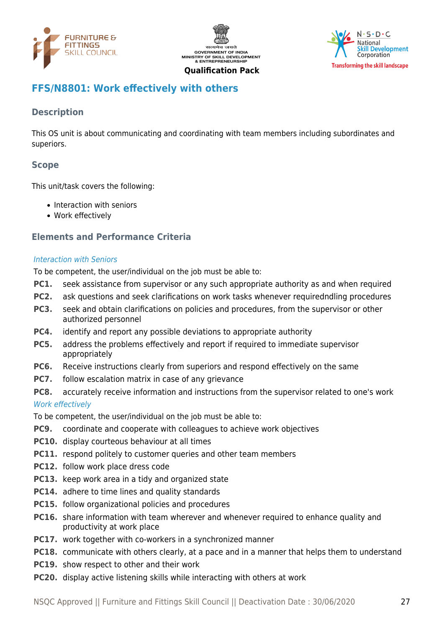





## <span id="page-26-0"></span>**FFS/N8801: Work effectively with others**

## **Description**

This OS unit is about communicating and coordinating with team members including subordinates and superiors.

## **Scope**

This unit/task covers the following:

- Interaction with seniors
- Work effectively

#### **Elements and Performance Criteria**

#### Interaction with Seniors

To be competent, the user/individual on the job must be able to:

- **PC1.** seek assistance from supervisor or any such appropriate authority as and when required
- **PC2.** ask questions and seek clarifications on work tasks whenever requiredndling procedures
- **PC3.** seek and obtain clarifications on policies and procedures, from the supervisor or other authorized personnel
- **PC4.** identify and report any possible deviations to appropriate authority
- **PC5.** address the problems effectively and report if required to immediate supervisor appropriately
- **PC6.** Receive instructions clearly from superiors and respond effectively on the same
- **PC7.** follow escalation matrix in case of any grievance
- **PC8.** accurately receive information and instructions from the supervisor related to one's work

#### Work effectively

To be competent, the user/individual on the job must be able to:

- **PC9.** coordinate and cooperate with colleagues to achieve work objectives
- **PC10.** display courteous behaviour at all times
- **PC11.** respond politely to customer queries and other team members
- **PC12.** follow work place dress code
- **PC13.** keep work area in a tidy and organized state
- **PC14.** adhere to time lines and quality standards
- **PC15.** follow organizational policies and procedures
- **PC16.** share information with team wherever and whenever required to enhance quality and productivity at work place
- **PC17.** work together with co-workers in a synchronized manner
- **PC18.** communicate with others clearly, at a pace and in a manner that helps them to understand
- **PC19.** show respect to other and their work
- **PC20.** display active listening skills while interacting with others at work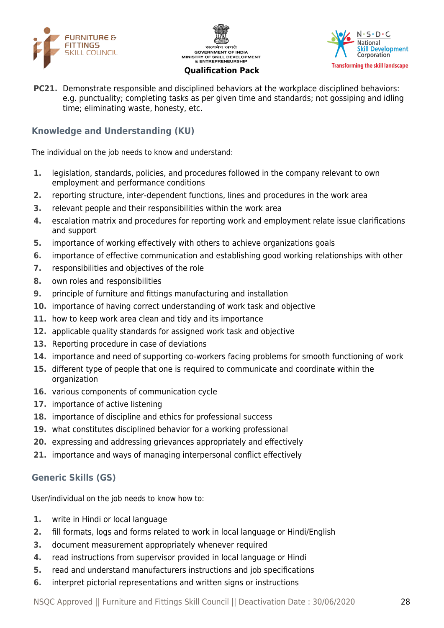





**PC21.** Demonstrate responsible and disciplined behaviors at the workplace disciplined behaviors: e.g. punctuality; completing tasks as per given time and standards; not gossiping and idling time; eliminating waste, honesty, etc.

## **Knowledge and Understanding (KU)**

The individual on the job needs to know and understand:

- **1.** legislation, standards, policies, and procedures followed in the company relevant to own employment and performance conditions
- **2.** reporting structure, inter-dependent functions, lines and procedures in the work area
- **3.** relevant people and their responsibilities within the work area
- **4.** escalation matrix and procedures for reporting work and employment relate issue clarifications and support
- **5.** importance of working effectively with others to achieve organizations goals
- **6.** importance of effective communication and establishing good working relationships with other
- **7.** responsibilities and objectives of the role
- **8.** own roles and responsibilities
- **9.** principle of furniture and fittings manufacturing and installation
- **10.** importance of having correct understanding of work task and objective
- **11.** how to keep work area clean and tidy and its importance
- **12.** applicable quality standards for assigned work task and objective
- **13.** Reporting procedure in case of deviations
- **14.** importance and need of supporting co-workers facing problems for smooth functioning of work
- **15.** different type of people that one is required to communicate and coordinate within the organization
- **16.** various components of communication cycle
- **17.** importance of active listening
- **18.** importance of discipline and ethics for professional success
- **19.** what constitutes disciplined behavior for a working professional
- **20.** expressing and addressing grievances appropriately and effectively
- **21.** importance and ways of managing interpersonal conflict effectively

## **Generic Skills (GS)**

User/individual on the job needs to know how to:

- **1.** write in Hindi or local language
- **2.** fill formats, logs and forms related to work in local language or Hindi/English
- **3.** document measurement appropriately whenever required
- **4.** read instructions from supervisor provided in local language or Hindi
- **5.** read and understand manufacturers instructions and job specifications
- **6.** interpret pictorial representations and written signs or instructions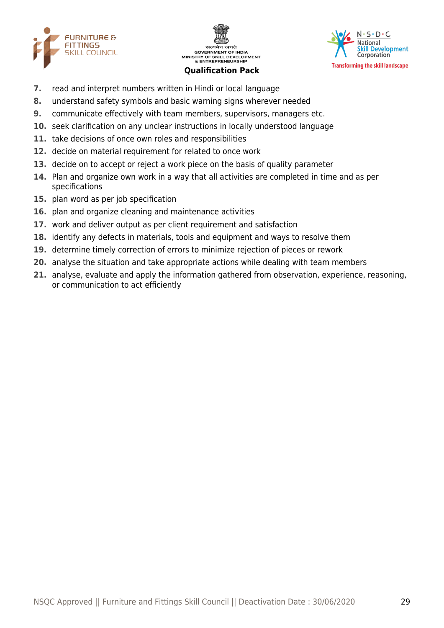





- **7.** read and interpret numbers written in Hindi or local language
- **8.** understand safety symbols and basic warning signs wherever needed
- **9.** communicate effectively with team members, supervisors, managers etc.
- **10.** seek clarification on any unclear instructions in locally understood language
- **11.** take decisions of once own roles and responsibilities
- **12.** decide on material requirement for related to once work
- **13.** decide on to accept or reject a work piece on the basis of quality parameter
- **14.** Plan and organize own work in a way that all activities are completed in time and as per specifications
- **15.** plan word as per job specification
- **16.** plan and organize cleaning and maintenance activities
- **17.** work and deliver output as per client requirement and satisfaction
- **18.** identify any defects in materials, tools and equipment and ways to resolve them
- **19.** determine timely correction of errors to minimize rejection of pieces or rework
- **20.** analyse the situation and take appropriate actions while dealing with team members
- **21.** analyse, evaluate and apply the information gathered from observation, experience, reasoning, or communication to act efficiently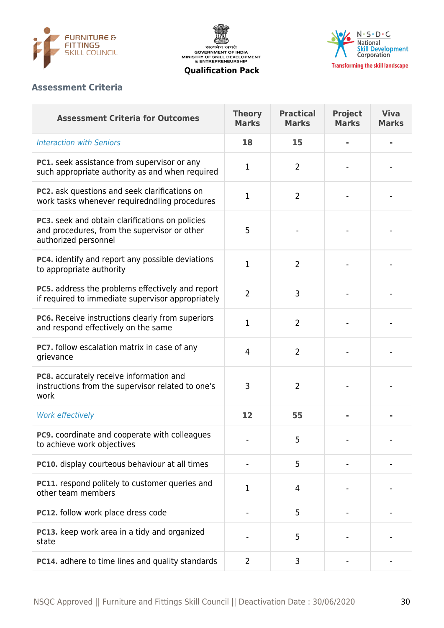

सत्यमेव जयते<br>GOVERNMENT OF INDIA<br>MINISTRY OF SKILL DEVELOPMENT<br>& ENTREPRENEURSHIP



**Qualification Pack**

## **Assessment Criteria**

| <b>Assessment Criteria for Outcomes</b>                                                                                 | <b>Theory</b><br><b>Marks</b> | <b>Practical</b><br><b>Marks</b> | <b>Project</b><br><b>Marks</b> | <b>Viva</b><br><b>Marks</b> |
|-------------------------------------------------------------------------------------------------------------------------|-------------------------------|----------------------------------|--------------------------------|-----------------------------|
| <b>Interaction with Seniors</b>                                                                                         | 18                            | 15                               |                                |                             |
| <b>PC1.</b> seek assistance from supervisor or any<br>such appropriate authority as and when required                   | 1                             | 2                                |                                |                             |
| PC2. ask questions and seek clarifications on<br>work tasks whenever requiredndling procedures                          | 1                             | $\overline{2}$                   |                                |                             |
| PC3. seek and obtain clarifications on policies<br>and procedures, from the supervisor or other<br>authorized personnel | 5                             |                                  |                                |                             |
| PC4. identify and report any possible deviations<br>to appropriate authority                                            | 1                             | $\overline{2}$                   |                                |                             |
| PC5. address the problems effectively and report<br>if required to immediate supervisor appropriately                   | $\overline{2}$                | 3                                |                                |                             |
| PC6. Receive instructions clearly from superiors<br>and respond effectively on the same                                 | 1                             | $\overline{2}$                   |                                |                             |
| PC7. follow escalation matrix in case of any<br>grievance                                                               | $\overline{4}$                | $\overline{2}$                   |                                |                             |
| PC8. accurately receive information and<br>instructions from the supervisor related to one's<br>work                    | 3                             | $\overline{2}$                   |                                |                             |
| Work effectively                                                                                                        | 12                            | 55                               |                                |                             |
| <b>PC9.</b> coordinate and cooperate with colleagues<br>to achieve work objectives                                      |                               | 5                                |                                |                             |
| PC10. display courteous behaviour at all times                                                                          |                               | 5                                |                                |                             |
| PC11. respond politely to customer queries and<br>other team members                                                    | 1                             | 4                                |                                |                             |
| PC12. follow work place dress code                                                                                      |                               | 5                                |                                |                             |
| PC13. keep work area in a tidy and organized<br>state                                                                   |                               | 5                                |                                |                             |
| PC14. adhere to time lines and quality standards                                                                        | $\overline{2}$                | 3                                |                                |                             |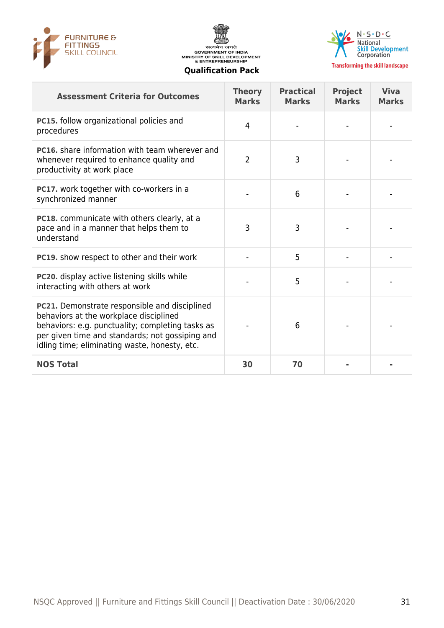





**Transforming the skill landscape** 

| <b>Assessment Criteria for Outcomes</b>                                                                                                                                                                                                         | <b>Theory</b><br><b>Marks</b> | <b>Practical</b><br><b>Marks</b> | <b>Project</b><br><b>Marks</b> | <b>Viva</b><br><b>Marks</b> |
|-------------------------------------------------------------------------------------------------------------------------------------------------------------------------------------------------------------------------------------------------|-------------------------------|----------------------------------|--------------------------------|-----------------------------|
| PC15. follow organizational policies and<br>procedures                                                                                                                                                                                          | 4                             |                                  |                                |                             |
| <b>PC16.</b> share information with team wherever and<br>whenever required to enhance quality and<br>productivity at work place                                                                                                                 | $\overline{2}$                | 3                                |                                |                             |
| PC17. work together with co-workers in a<br>synchronized manner                                                                                                                                                                                 |                               | 6                                |                                |                             |
| PC18. communicate with others clearly, at a<br>pace and in a manner that helps them to<br>understand                                                                                                                                            | 3                             | 3                                |                                |                             |
| PC19. show respect to other and their work                                                                                                                                                                                                      |                               | 5                                |                                |                             |
| PC20. display active listening skills while<br>interacting with others at work                                                                                                                                                                  |                               | 5                                |                                |                             |
| PC21. Demonstrate responsible and disciplined<br>behaviors at the workplace disciplined<br>behaviors: e.g. punctuality; completing tasks as<br>per given time and standards; not gossiping and<br>idling time; eliminating waste, honesty, etc. |                               | 6                                |                                |                             |
| <b>NOS Total</b>                                                                                                                                                                                                                                | 30                            | 70                               |                                |                             |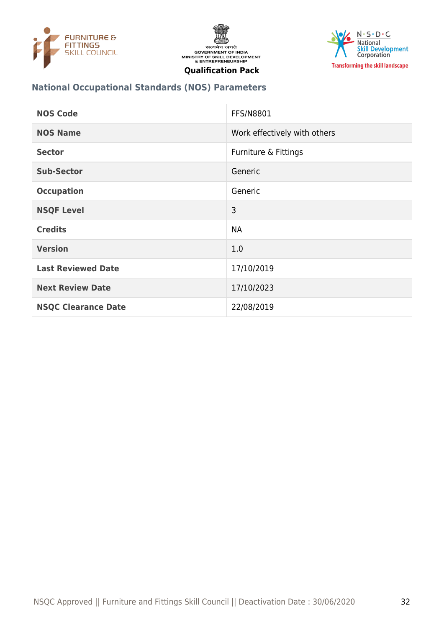





#### **National Occupational Standards (NOS) Parameters**

| <b>NOS Code</b>            | <b>FFS/N8801</b>             |
|----------------------------|------------------------------|
| <b>NOS Name</b>            | Work effectively with others |
| <b>Sector</b>              | Furniture & Fittings         |
| <b>Sub-Sector</b>          | Generic                      |
| <b>Occupation</b>          | Generic                      |
| <b>NSQF Level</b>          | 3                            |
| <b>Credits</b>             | <b>NA</b>                    |
| <b>Version</b>             | 1.0                          |
| <b>Last Reviewed Date</b>  | 17/10/2019                   |
| <b>Next Review Date</b>    | 17/10/2023                   |
| <b>NSQC Clearance Date</b> | 22/08/2019                   |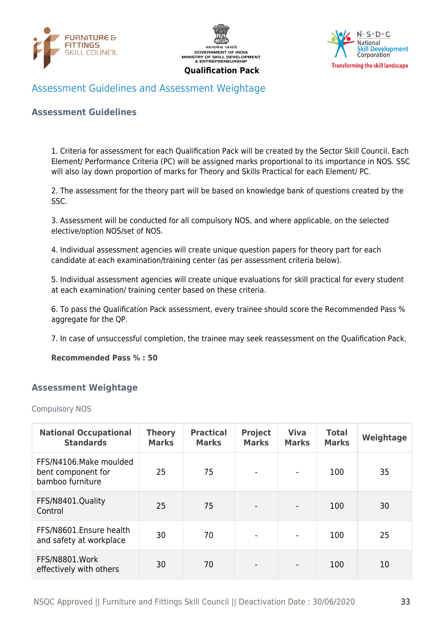





## <span id="page-32-0"></span>Assessment Guidelines and Assessment Weightage

#### **Assessment Guidelines**

1. Criteria for assessment for each Qualification Pack will be created by the Sector Skill Council. Each Element/ Performance Criteria (PC) will be assigned marks proportional to its importance in NOS. SSC will also lay down proportion of marks for Theory and Skills Practical for each Element/ PC.

2. The assessment for the theory part will be based on knowledge bank of questions created by the SSC.

3. Assessment will be conducted for all compulsory NOS, and where applicable, on the selected elective/option NOS/set of NOS.

4. Individual assessment agencies will create unique question papers for theory part for each candidate at each examination/training center (as per assessment criteria below).

5. Individual assessment agencies will create unique evaluations for skill practical for every student at each examination/ training center based on these criteria.

6. To pass the Qualification Pack assessment, every trainee should score the Recommended Pass % aggregate for the QP.

7. In case of unsuccessful completion, the trainee may seek reassessment on the Qualification Pack.

**Recommended Pass % : 50**

#### <span id="page-32-1"></span>**Assessment Weightage**

#### Compulsory NOS

| <b>National Occupational</b><br><b>Standards</b>                 | <b>Theory</b><br><b>Marks</b> | <b>Practical</b><br><b>Marks</b> | <b>Project</b><br><b>Marks</b> | <b>Viva</b><br><b>Marks</b> | <b>Total</b><br><b>Marks</b> | Weightage |
|------------------------------------------------------------------|-------------------------------|----------------------------------|--------------------------------|-----------------------------|------------------------------|-----------|
| FFS/N4106.Make moulded<br>bent component for<br>bamboo furniture | 25                            | 75                               |                                |                             | 100                          | 35        |
| FFS/N8401.Quality<br>Control                                     | 25                            | 75                               |                                |                             | 100                          | 30        |
| FFS/N8601.Ensure health<br>and safety at workplace               | 30                            | 70                               |                                |                             | 100                          | 25        |
| FFS/N8801.Work<br>effectively with others                        | 30                            | 70                               |                                |                             | 100                          | 10        |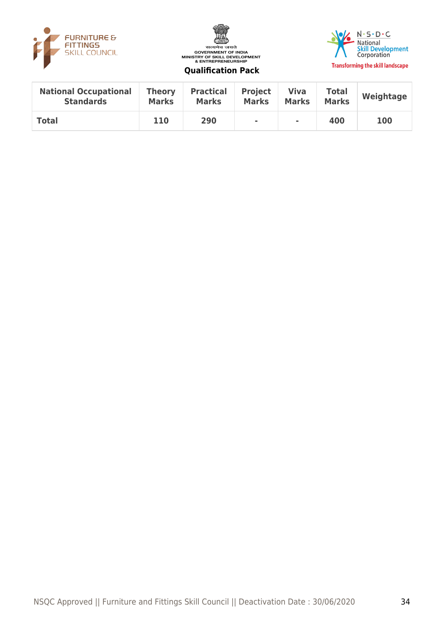





| <b>National Occupational</b> | <b>Theory</b> | <b>Practical</b> | <b>Project</b> | Viva         | <b>Total</b> | Weightage  |
|------------------------------|---------------|------------------|----------------|--------------|--------------|------------|
| <b>Standards</b>             | <b>Marks</b>  | <b>Marks</b>     | <b>Marks</b>   | <b>Marks</b> | <b>Marks</b> |            |
| <b>Total</b>                 | 110           | 290              | ٠              | ٠            | 400          | <b>100</b> |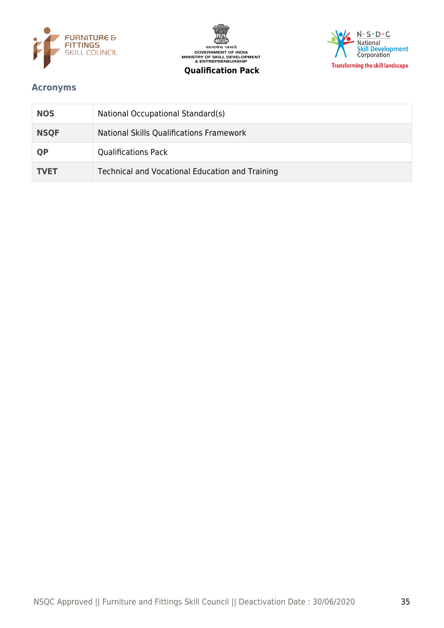





#### <span id="page-34-0"></span>**Acronyms**

| <b>NOS</b>  | National Occupational Standard(s)               |
|-------------|-------------------------------------------------|
| <b>NSQF</b> | National Skills Qualifications Framework        |
| <b>QP</b>   | <b>Qualifications Pack</b>                      |
| <b>TVET</b> | Technical and Vocational Education and Training |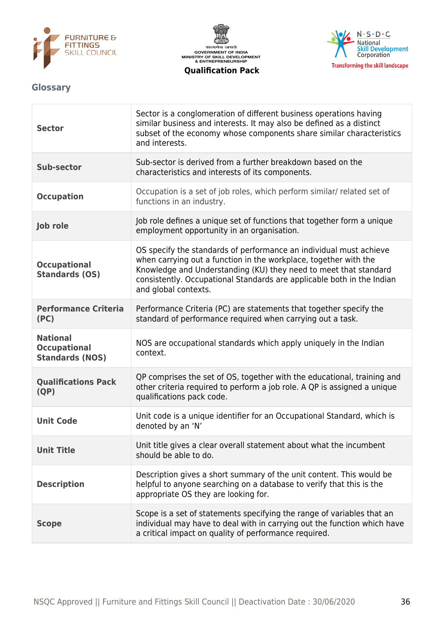





#### <span id="page-35-0"></span>**Glossary**

| <b>Sector</b>                                                    | Sector is a conglomeration of different business operations having<br>similar business and interests. It may also be defined as a distinct<br>subset of the economy whose components share similar characteristics<br>and interests.                                                                         |
|------------------------------------------------------------------|--------------------------------------------------------------------------------------------------------------------------------------------------------------------------------------------------------------------------------------------------------------------------------------------------------------|
| <b>Sub-sector</b>                                                | Sub-sector is derived from a further breakdown based on the<br>characteristics and interests of its components.                                                                                                                                                                                              |
| <b>Occupation</b>                                                | Occupation is a set of job roles, which perform similar/ related set of<br>functions in an industry.                                                                                                                                                                                                         |
| Job role                                                         | Job role defines a unique set of functions that together form a unique<br>employment opportunity in an organisation.                                                                                                                                                                                         |
| <b>Occupational</b><br><b>Standards (OS)</b>                     | OS specify the standards of performance an individual must achieve<br>when carrying out a function in the workplace, together with the<br>Knowledge and Understanding (KU) they need to meet that standard<br>consistently. Occupational Standards are applicable both in the Indian<br>and global contexts. |
| <b>Performance Criteria</b><br>(PC)                              | Performance Criteria (PC) are statements that together specify the<br>standard of performance required when carrying out a task.                                                                                                                                                                             |
| <b>National</b><br><b>Occupational</b><br><b>Standards (NOS)</b> | NOS are occupational standards which apply uniquely in the Indian<br>context.                                                                                                                                                                                                                                |
| <b>Qualifications Pack</b><br>(QP)                               | QP comprises the set of OS, together with the educational, training and<br>other criteria required to perform a job role. A QP is assigned a unique<br>qualifications pack code.                                                                                                                             |
| <b>Unit Code</b>                                                 | Unit code is a unique identifier for an Occupational Standard, which is<br>denoted by an 'N'                                                                                                                                                                                                                 |
| <b>Unit Title</b>                                                | Unit title gives a clear overall statement about what the incumbent<br>should be able to do.                                                                                                                                                                                                                 |
| <b>Description</b>                                               | Description gives a short summary of the unit content. This would be<br>helpful to anyone searching on a database to verify that this is the<br>appropriate OS they are looking for.                                                                                                                         |
| <b>Scope</b>                                                     | Scope is a set of statements specifying the range of variables that an<br>individual may have to deal with in carrying out the function which have<br>a critical impact on quality of performance required.                                                                                                  |